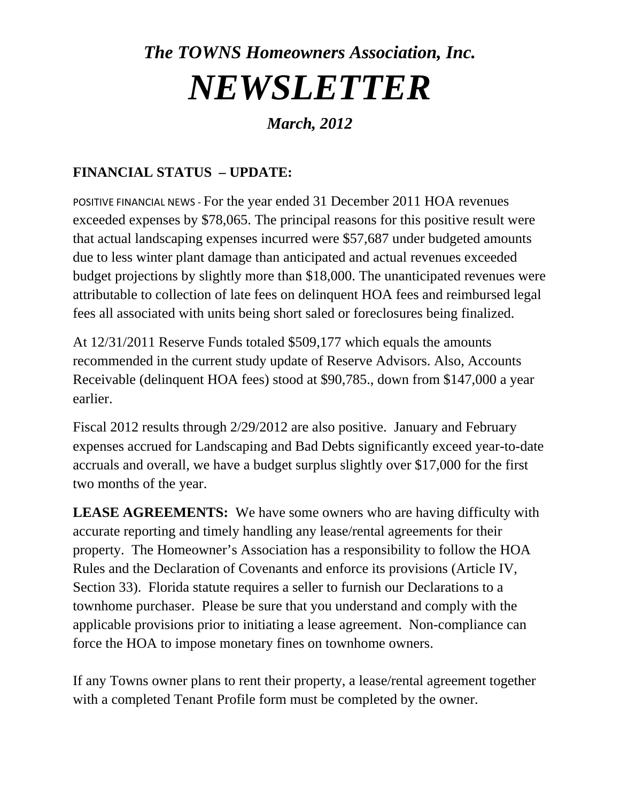## *The TOWNS Homeowners Association, Inc. NEWSLETTER*

## *March, 2012*

## **FINANCIAL STATUS – UPDATE:**

POSITIVE FINANCIAL NEWS ‐ For the year ended 31 December 2011 HOA revenues exceeded expenses by \$78,065. The principal reasons for this positive result were that actual landscaping expenses incurred were \$57,687 under budgeted amounts due to less winter plant damage than anticipated and actual revenues exceeded budget projections by slightly more than \$18,000. The unanticipated revenues were attributable to collection of late fees on delinquent HOA fees and reimbursed legal fees all associated with units being short saled or foreclosures being finalized.

At 12/31/2011 Reserve Funds totaled \$509,177 which equals the amounts recommended in the current study update of Reserve Advisors. Also, Accounts Receivable (delinquent HOA fees) stood at \$90,785., down from \$147,000 a year earlier.

Fiscal 2012 results through 2/29/2012 are also positive. January and February expenses accrued for Landscaping and Bad Debts significantly exceed year-to-date accruals and overall, we have a budget surplus slightly over \$17,000 for the first two months of the year.

**LEASE AGREEMENTS:** We have some owners who are having difficulty with accurate reporting and timely handling any lease/rental agreements for their property. The Homeowner's Association has a responsibility to follow the HOA Rules and the Declaration of Covenants and enforce its provisions (Article IV, Section 33). Florida statute requires a seller to furnish our Declarations to a townhome purchaser. Please be sure that you understand and comply with the applicable provisions prior to initiating a lease agreement. Non-compliance can force the HOA to impose monetary fines on townhome owners.

If any Towns owner plans to rent their property, a lease/rental agreement together with a completed Tenant Profile form must be completed by the owner.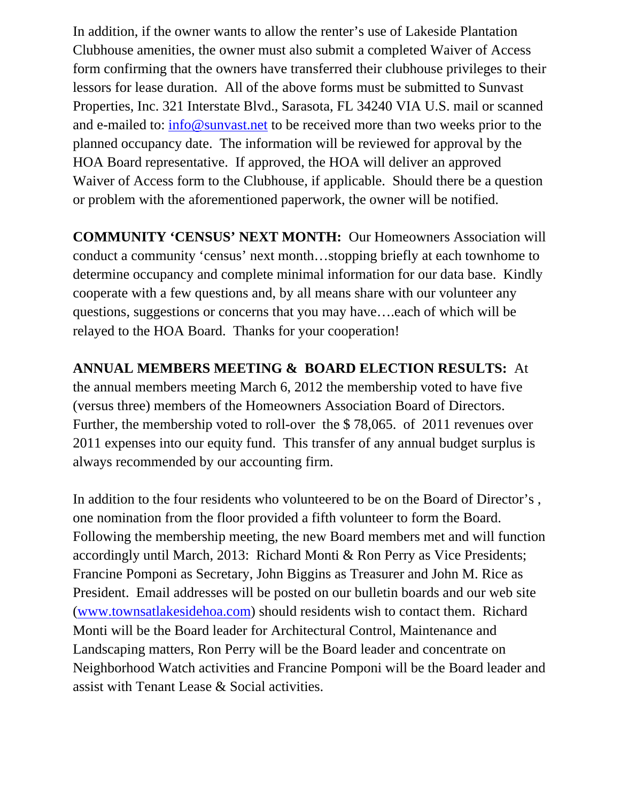In addition, if the owner wants to allow the renter's use of Lakeside Plantation Clubhouse amenities, the owner must also submit a completed Waiver of Access form confirming that the owners have transferred their clubhouse privileges to their lessors for lease duration. All of the above forms must be submitted to Sunvast Properties, Inc. 321 Interstate Blvd., Sarasota, FL 34240 VIA U.S. mail or scanned and e-mailed to: info@sunvast.net to be received more than two weeks prior to the planned occupancy date. The information will be reviewed for approval by the HOA Board representative. If approved, the HOA will deliver an approved Waiver of Access form to the Clubhouse, if applicable. Should there be a question or problem with the aforementioned paperwork, the owner will be notified.

**COMMUNITY 'CENSUS' NEXT MONTH:** Our Homeowners Association will conduct a community 'census' next month…stopping briefly at each townhome to determine occupancy and complete minimal information for our data base. Kindly cooperate with a few questions and, by all means share with our volunteer any questions, suggestions or concerns that you may have….each of which will be relayed to the HOA Board. Thanks for your cooperation!

## **ANNUAL MEMBERS MEETING & BOARD ELECTION RESULTS:** At

the annual members meeting March 6, 2012 the membership voted to have five (versus three) members of the Homeowners Association Board of Directors. Further, the membership voted to roll-over the \$ 78,065. of 2011 revenues over 2011 expenses into our equity fund. This transfer of any annual budget surplus is always recommended by our accounting firm.

In addition to the four residents who volunteered to be on the Board of Director's , one nomination from the floor provided a fifth volunteer to form the Board. Following the membership meeting, the new Board members met and will function accordingly until March, 2013: Richard Monti & Ron Perry as Vice Presidents; Francine Pomponi as Secretary, John Biggins as Treasurer and John M. Rice as President. Email addresses will be posted on our bulletin boards and our web site (www.townsatlakesidehoa.com) should residents wish to contact them. Richard Monti will be the Board leader for Architectural Control, Maintenance and Landscaping matters, Ron Perry will be the Board leader and concentrate on Neighborhood Watch activities and Francine Pomponi will be the Board leader and assist with Tenant Lease & Social activities.